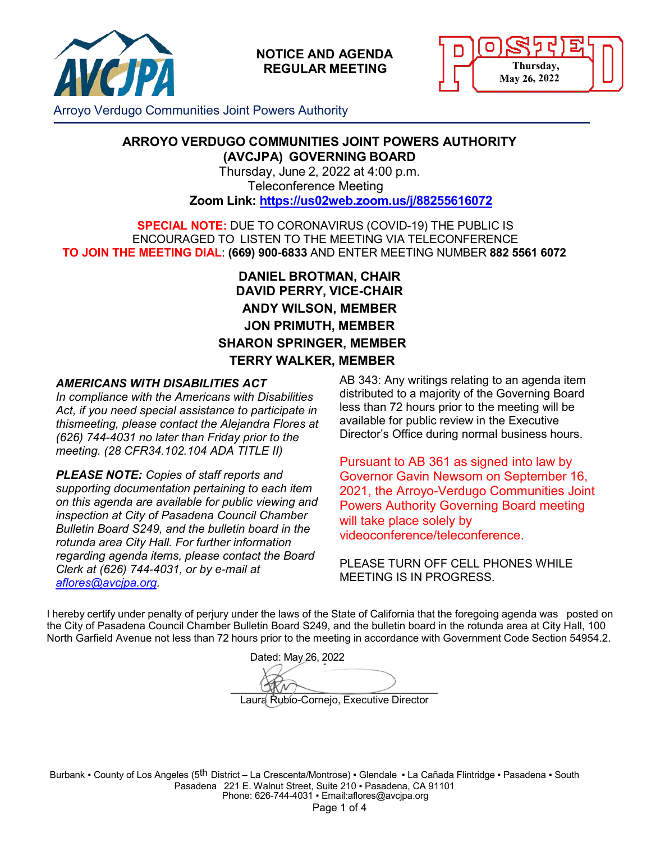



Arroyo Verdugo Communities Joint Powers Authority

#### **ARROYO VERDUGO COMMUNITIES JOINT POWERS AUTHORITY (AVCJPA) GOVERNING BOARD**

Thursday, June 2, 2022 at 4:00 p.m. Teleconference Meeting **Zoom Link: <https://us02web.zoom.us/j/88255616072>**

**SPECIAL NOTE:** DUE TO CORONAVIRUS (COVID-19) THE PUBLIC IS ENCOURAGED TO LISTEN TO THE MEETING VIA TELECONFERENCE **TO JOIN THE MEETING DIAL**: **(669) 900-6833** AND ENTER MEETING NUMBER **882 5561 6072**

# **DANIEL BROTMAN, CHAIR DAVID PERRY, VICE-CHAIR ANDY WILSON, MEMBER JON PRIMUTH, MEMBER SHARON SPRINGER, MEMBER TERRY WALKER, MEMBER**

#### *AMERICANS WITH DISABILITIES ACT*

*In compliance with the Americans with Disabilities Act, if you need special assistance to participate in thismeeting, please contact the Alejandra Flores at (626) 744-4031 no later than Friday prior to the meeting. (28 CFR34.102.104 ADA TITLE II)*

*PLEASE NOTE: Copies of staff reports and supporting documentation pertaining to each item on this agenda are available for public viewing and inspection at City of Pasadena Council Chamber Bulletin Board S249, and the bulletin board in the rotunda area City Hall. For further information regarding agenda items, please contact the Board Clerk at (626) 744-4031, or by e-mail at [aflores@avcjpa.org.](mailto:aflores@avcjpa.org)* 

AB 343: Any writings relating to an agenda item distributed to a majority of the Governing Board less than 72 hours prior to the meeting will be available for public review in the Executive Director's Office during normal business hours.

Pursuant to AB 361 as signed into law by Governor Gavin Newsom on September 16, 2021, the Arroyo-Verdugo Communities Joint Powers Authority Governing Board meeting will take place solely by videoconference/teleconference.

PLEASE TURN OFF CELL PHONES WHILE MEETING IS IN PROGRESS.

I hereby certify under penalty of perjury under the laws of the State of California that the foregoing agenda was posted on the City of Pasadena Council Chamber Bulletin Board S249, and the bulletin board in the rotunda area at City Hall, 100 North Garfield Avenue not less than 72 hours prior to the meeting in accordance with Government Code Section 54954.2.

Dated: May 26, 2022  $\frac{1}{2}$ Laura Rubio-Cornejo, Executive Director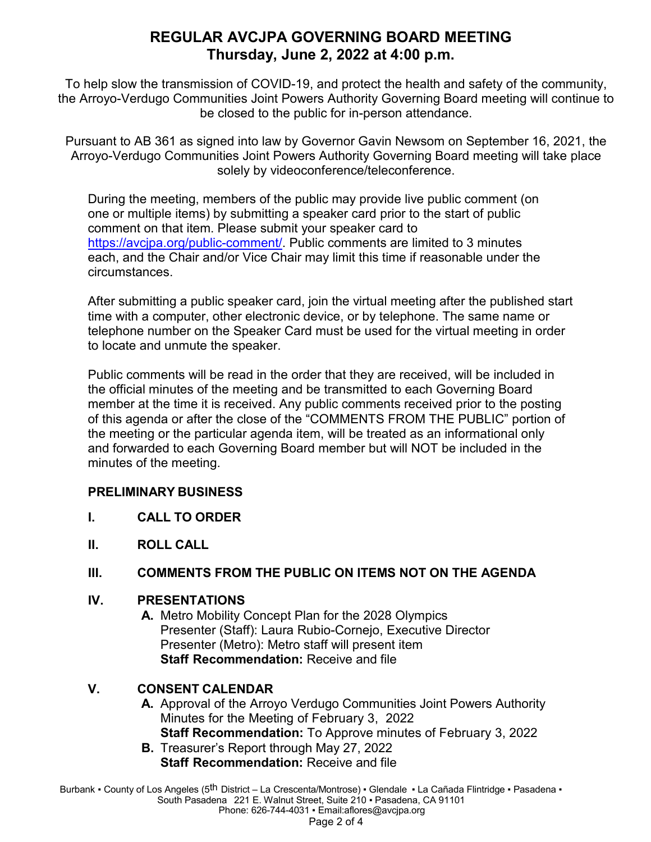# **REGULAR AVCJPA GOVERNING BOARD MEETING Thursday, June 2, 2022 at 4:00 p.m.**

To help slow the transmission of COVID-19, and protect the health and safety of the community, the Arroyo-Verdugo Communities Joint Powers Authority Governing Board meeting will continue to be closed to the public for in-person attendance.

Pursuant to AB 361 as signed into law by Governor Gavin Newsom on September 16, 2021, the Arroyo-Verdugo Communities Joint Powers Authority Governing Board meeting will take place solely by videoconference/teleconference.

During the meeting, members of the public may provide live public comment (on one or multiple items) by submitting a speaker card prior to the start of public comment on that item. Please submit your speaker card to [https://avcjpa.org/public-comment/.](https://avcjpa.org/public-comment/) Public comments are limited to 3 minutes each, and the Chair and/or Vice Chair may limit this time if reasonable under the circumstances.

After submitting a public speaker card, join the virtual meeting after the published start time with a computer, other electronic device, or by telephone. The same name or telephone number on the Speaker Card must be used for the virtual meeting in order to locate and unmute the speaker.

Public comments will be read in the order that they are received, will be included in the official minutes of the meeting and be transmitted to each Governing Board member at the time it is received. Any public comments received prior to the posting of this agenda or after the close of the "COMMENTS FROM THE PUBLIC" portion of the meeting or the particular agenda item, will be treated as an informational only and forwarded to each Governing Board member but will NOT be included in the minutes of the meeting.

### **PRELIMINARY BUSINESS**

- **I. CALL TO ORDER**
- **II. ROLL CALL**

# **III. COMMENTS FROM THE PUBLIC ON ITEMS NOT ON THE AGENDA**

### **IV. PRESENTATIONS**

**A.** Metro Mobility Concept Plan for the 2028 Olympics Presenter (Staff): Laura Rubio-Cornejo, Executive Director Presenter (Metro): Metro staff will present item **Staff Recommendation:** Receive and file

# **V. CONSENT CALENDAR**

- **A.** Approval of the Arroyo Verdugo Communities Joint Powers Authority Minutes for the Meeting of February 3, 2022 **Staff Recommendation:** To Approve minutes of February 3, 2022
- **B.** Treasurer's Report through May 27, 2022 **Staff Recommendation:** Receive and file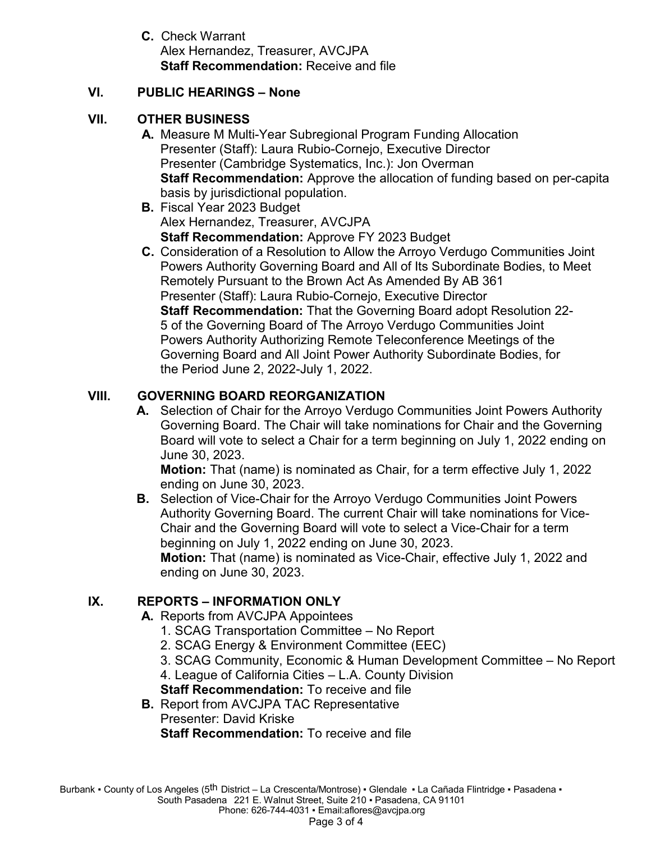**C.** Check Warrant Alex Hernandez, Treasurer, AVCJPA **Staff Recommendation:** Receive and file

#### **VI. PUBLIC HEARINGS – None**

#### **VII. OTHER BUSINESS**

- **A.** Measure M Multi-Year Subregional Program Funding Allocation Presenter (Staff): Laura Rubio-Cornejo, Executive Director Presenter (Cambridge Systematics, Inc.): Jon Overman **Staff Recommendation:** Approve the allocation of funding based on per-capita basis by jurisdictional population.
- **B.** Fiscal Year 2023 Budget Alex Hernandez, Treasurer, AVCJPA **Staff Recommendation:** Approve FY 2023 Budget
- **C.** Consideration of a Resolution to Allow the Arroyo Verdugo Communities Joint Powers Authority Governing Board and All of Its Subordinate Bodies, to Meet Remotely Pursuant to the Brown Act As Amended By AB 361 Presenter (Staff): Laura Rubio-Cornejo, Executive Director **Staff Recommendation:** That the Governing Board adopt Resolution 22- 5 of the Governing Board of The Arroyo Verdugo Communities Joint Powers Authority Authorizing Remote Teleconference Meetings of the Governing Board and All Joint Power Authority Subordinate Bodies, for the Period June 2, 2022-July 1, 2022.

### **VIII. GOVERNING BOARD REORGANIZATION**

**A.** Selection of Chair for the Arroyo Verdugo Communities Joint Powers Authority Governing Board. The Chair will take nominations for Chair and the Governing Board will vote to select a Chair for a term beginning on July 1, 2022 ending on June 30, 2023.

**Motion:** That (name) is nominated as Chair, for a term effective July 1, 2022 ending on June 30, 2023.

**B.** Selection of Vice-Chair for the Arroyo Verdugo Communities Joint Powers Authority Governing Board. The current Chair will take nominations for Vice-Chair and the Governing Board will vote to select a Vice-Chair for a term beginning on July 1, 2022 ending on June 30, 2023. **Motion:** That (name) is nominated as Vice-Chair, effective July 1, 2022 and ending on June 30, 2023.

### **IX. REPORTS – INFORMATION ONLY**

- **A.** Reports from AVCJPA Appointees
	- 1. SCAG Transportation Committee No Report
	- 2. SCAG Energy & Environment Committee (EEC)
	- 3. SCAG Community, Economic & Human Development Committee No Report
	- 4. League of California Cities L.A. County Division

**Staff Recommendation:** To receive and file

**B.** Report from AVCJPA TAC Representative Presenter: David Kriske **Staff Recommendation:** To receive and file